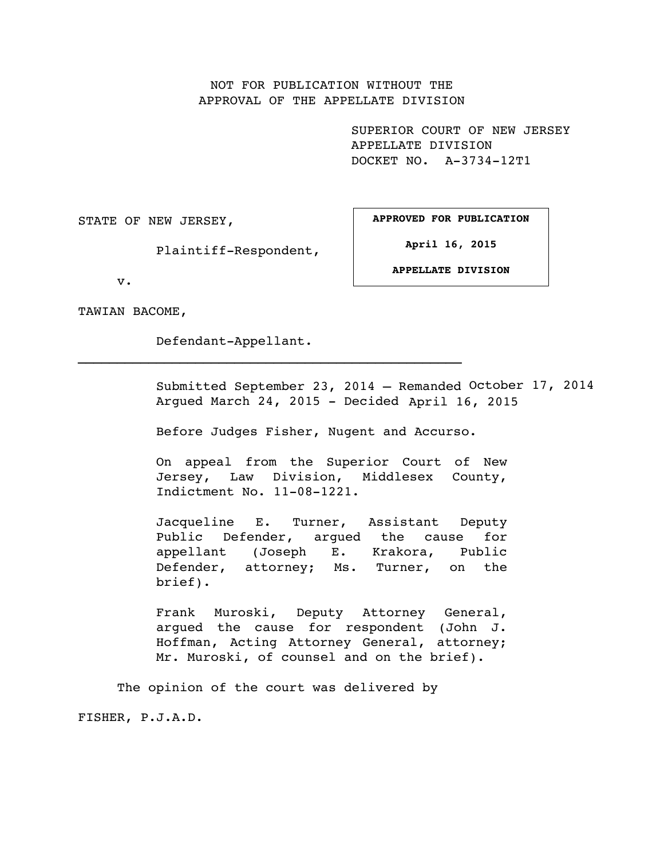# NOT FOR PUBLICATION WITHOUT THE APPROVAL OF THE APPELLATE DIVISION

SUPERIOR COURT OF NEW JERSEY APPELLATE DIVISION DOCKET NO. A-3734-12T1

STATE OF NEW JERSEY,

Plaintiff-Respondent,

**APPROVED FOR PUBLICATION**

**April 16, 2015**

**APPELLATE DIVISION**

v.

TAWIAN BACOME,

Defendant-Appellant.

Submitted September 23, 2014 – Remanded October 17, 2014 Argued March 24, 2015 - Decided April 16, 2015

Before Judges Fisher, Nugent and Accurso.

On appeal from the Superior Court of New Jersey, Law Division, Middlesex County, Indictment No. 11-08-1221.

Jacqueline E. Turner, Assistant Deputy Public Defender, argued the cause for appellant (Joseph E. Krakora, Public Defender, attorney; Ms. Turner, on the brief).

Frank Muroski, Deputy Attorney General, argued the cause for respondent (John J. Hoffman, Acting Attorney General, attorney; Mr. Muroski, of counsel and on the brief).

The opinion of the court was delivered by

FISHER, P.J.A.D.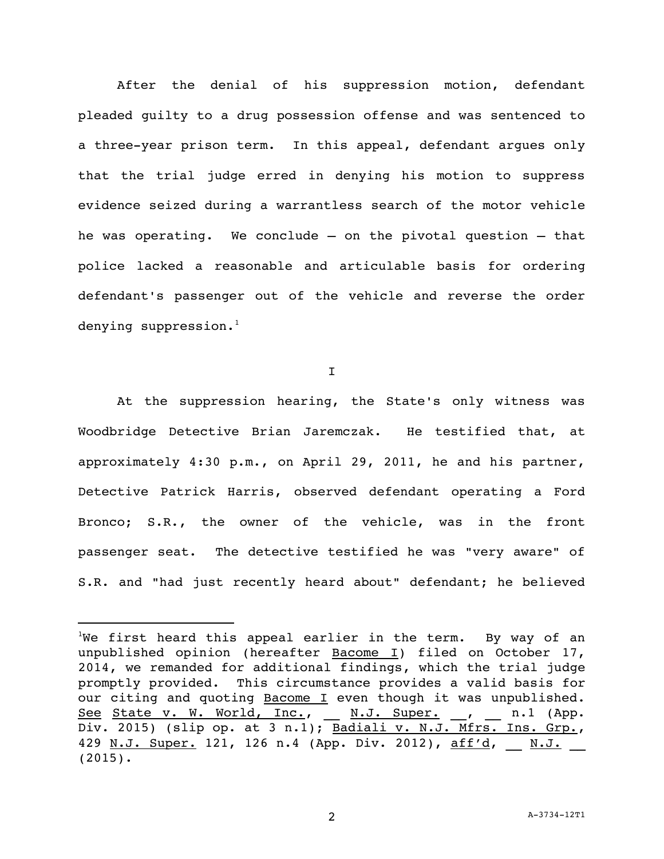After the denial of his suppression motion, defendant pleaded guilty to a drug possession offense and was sentenced to a three-year prison term. In this appeal, defendant argues only that the trial judge erred in denying his motion to suppress evidence seized during a warrantless search of the motor vehicle he was operating. We conclude – on the pivotal question – that police lacked a reasonable and articulable basis for ordering defendant's passenger out of the vehicle and reverse the order denying suppression. $<sup>1</sup>$ </sup>

I

At the suppression hearing, the State's only witness was Woodbridge Detective Brian Jaremczak. He testified that, at approximately 4:30 p.m., on April 29, 2011, he and his partner, Detective Patrick Harris, observed defendant operating a Ford Bronco; S.R., the owner of the vehicle, was in the front passenger seat. The detective testified he was "very aware" of S.R. and "had just recently heard about" defendant; he believed

We first heard this appeal earlier in the term. By way of an unpublished opinion (hereafter Bacome I) filed on October 17, 2014, we remanded for additional findings, which the trial judge promptly provided. This circumstance provides a valid basis for our citing and quoting Bacome I even though it was unpublished. See State v. W. World, Inc., \_ N.J. Super. \_, \_ n.1 (App. Div. 2015) (slip op. at 3 n.1); Badiali v. N.J. Mfrs. Ins. Grp., 429 N.J. Super. 121, 126 n.4 (App. Div. 2012), aff'd, \_\_ N.J. (2015).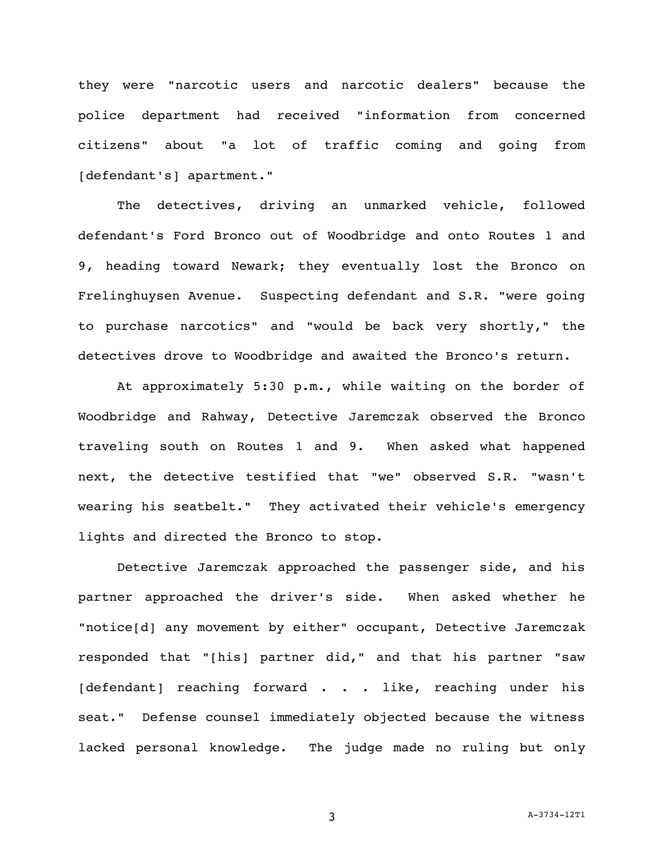they were "narcotic users and narcotic dealers" because the police department had received "information from concerned citizens" about "a lot of traffic coming and going from [defendant's] apartment."

The detectives, driving an unmarked vehicle, followed defendant's Ford Bronco out of Woodbridge and onto Routes 1 and 9, heading toward Newark; they eventually lost the Bronco on Frelinghuysen Avenue. Suspecting defendant and S.R. "were going to purchase narcotics" and "would be back very shortly," the detectives drove to Woodbridge and awaited the Bronco's return.

At approximately 5:30 p.m., while waiting on the border of Woodbridge and Rahway, Detective Jaremczak observed the Bronco traveling south on Routes 1 and 9. When asked what happened next, the detective testified that "we" observed S.R. "wasn't wearing his seatbelt." They activated their vehicle's emergency lights and directed the Bronco to stop.

Detective Jaremczak approached the passenger side, and his partner approached the driver's side. When asked whether he "notice[d] any movement by either" occupant, Detective Jaremczak responded that "[his] partner did," and that his partner "saw [defendant] reaching forward . . . like, reaching under his seat." Defense counsel immediately objected because the witness lacked personal knowledge. The judge made no ruling but only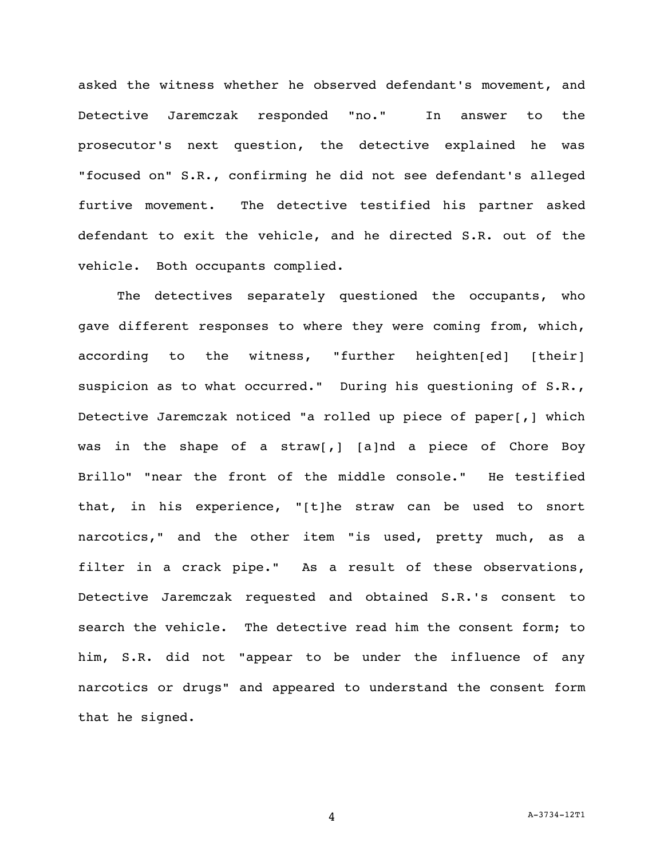asked the witness whether he observed defendant's movement, and Detective Jaremczak responded "no." In answer to the prosecutor's next question, the detective explained he was "focused on" S.R., confirming he did not see defendant's alleged furtive movement. The detective testified his partner asked defendant to exit the vehicle, and he directed S.R. out of the vehicle. Both occupants complied.

The detectives separately questioned the occupants, who gave different responses to where they were coming from, which, according to the witness, "further heighten[ed] [their] suspicion as to what occurred." During his questioning of S.R., Detective Jaremczak noticed "a rolled up piece of paper[,] which was in the shape of a straw[,] [a]nd a piece of Chore Boy Brillo" "near the front of the middle console." He testified that, in his experience, "[t]he straw can be used to snort narcotics," and the other item "is used, pretty much, as a filter in a crack pipe." As a result of these observations, Detective Jaremczak requested and obtained S.R.'s consent to search the vehicle. The detective read him the consent form; to him, S.R. did not "appear to be under the influence of any narcotics or drugs" and appeared to understand the consent form that he signed.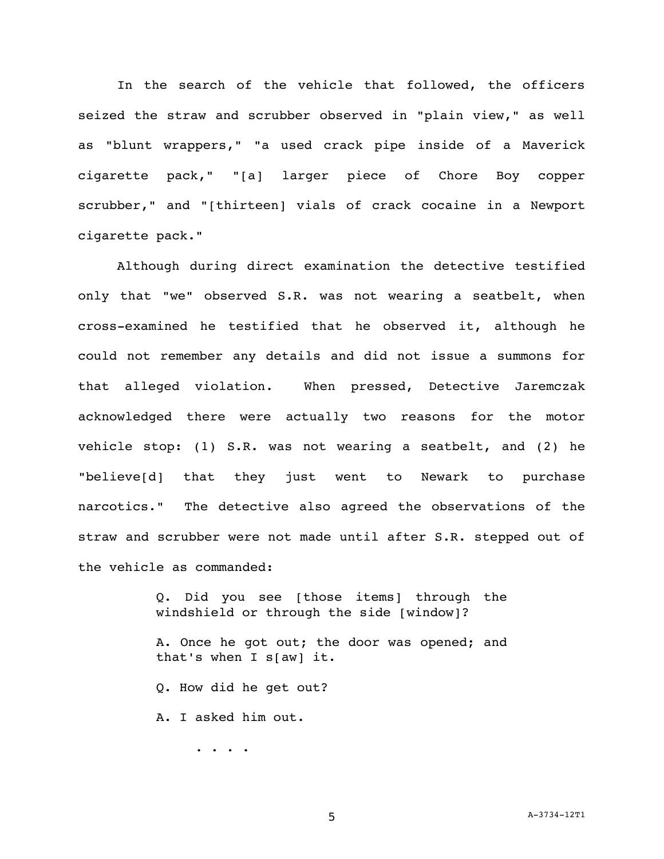In the search of the vehicle that followed, the officers seized the straw and scrubber observed in "plain view," as well as "blunt wrappers," "a used crack pipe inside of a Maverick cigarette pack," "[a] larger piece of Chore Boy copper scrubber," and "[thirteen] vials of crack cocaine in a Newport cigarette pack."

Although during direct examination the detective testified only that "we" observed S.R. was not wearing a seatbelt, when cross-examined he testified that he observed it, although he could not remember any details and did not issue a summons for that alleged violation. When pressed, Detective Jaremczak acknowledged there were actually two reasons for the motor vehicle stop: (1) S.R. was not wearing a seatbelt, and (2) he "believe[d] that they just went to Newark to purchase narcotics." The detective also agreed the observations of the straw and scrubber were not made until after S.R. stepped out of the vehicle as commanded:

> Q. Did you see [those items] through the windshield or through the side [window]? A. Once he got out; the door was opened; and that's when I s[aw] it. Q. How did he get out? A. I asked him out. . . . .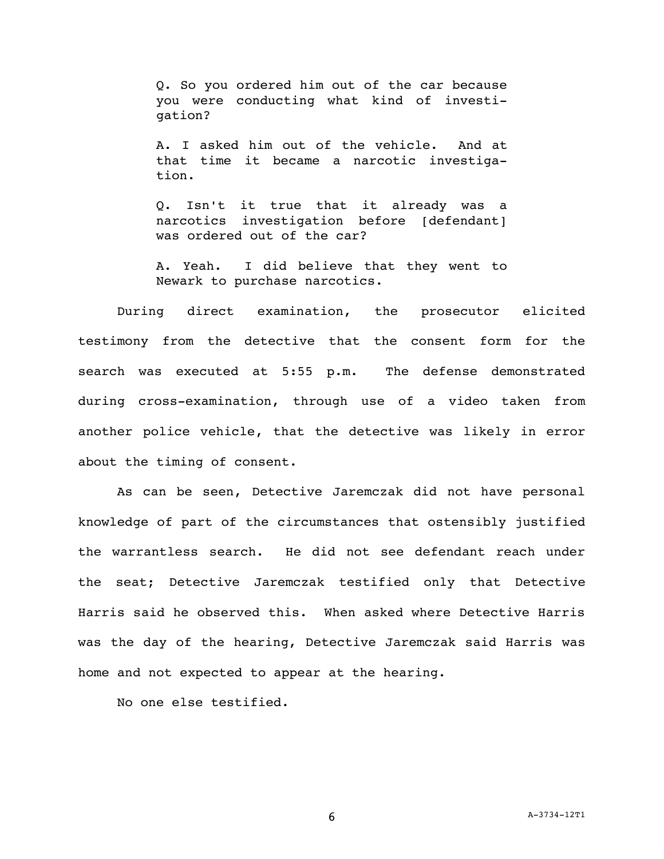Q. So you ordered him out of the car because you were conducting what kind of investigation?

A. I asked him out of the vehicle. And at that time it became a narcotic investigation.

Q. Isn't it true that it already was a narcotics investigation before [defendant] was ordered out of the car?

A. Yeah. I did believe that they went to Newark to purchase narcotics.

During direct examination, the prosecutor elicited testimony from the detective that the consent form for the search was executed at 5:55 p.m. The defense demonstrated during cross-examination, through use of a video taken from another police vehicle, that the detective was likely in error about the timing of consent.

As can be seen, Detective Jaremczak did not have personal knowledge of part of the circumstances that ostensibly justified the warrantless search. He did not see defendant reach under the seat; Detective Jaremczak testified only that Detective Harris said he observed this. When asked where Detective Harris was the day of the hearing, Detective Jaremczak said Harris was home and not expected to appear at the hearing.

No one else testified.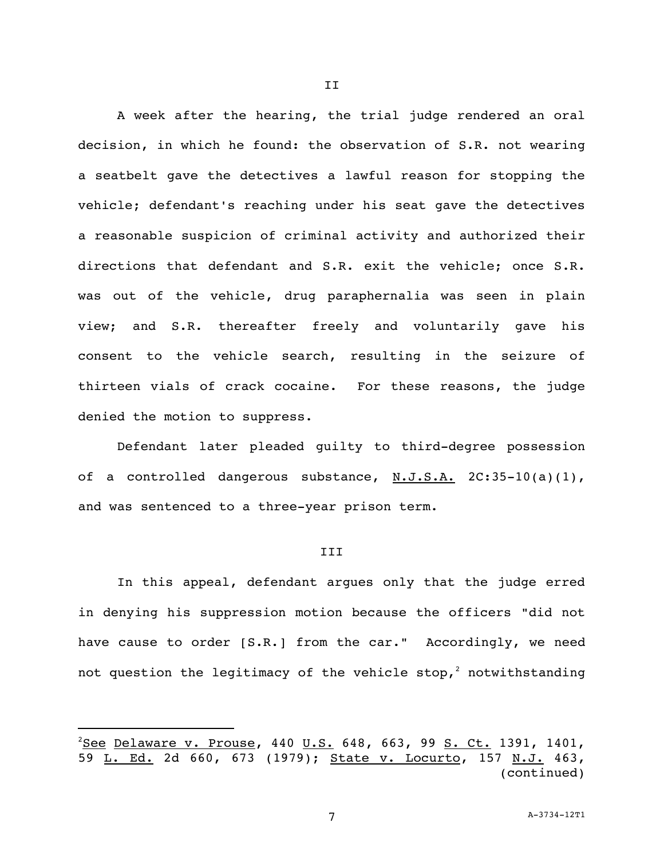A week after the hearing, the trial judge rendered an oral decision, in which he found: the observation of S.R. not wearing a seatbelt gave the detectives a lawful reason for stopping the vehicle; defendant's reaching under his seat gave the detectives a reasonable suspicion of criminal activity and authorized their directions that defendant and S.R. exit the vehicle; once S.R. was out of the vehicle, drug paraphernalia was seen in plain view; and S.R. thereafter freely and voluntarily gave his consent to the vehicle search, resulting in the seizure of thirteen vials of crack cocaine. For these reasons, the judge denied the motion to suppress.

Defendant later pleaded guilty to third-degree possession of a controlled dangerous substance, N.J.S.A. 2C:35-10(a)(1), and was sentenced to a three-year prison term.

#### III

In this appeal, defendant argues only that the judge erred in denying his suppression motion because the officers "did not have cause to order [S.R.] from the car." Accordingly, we need not question the legitimacy of the vehicle stop,<sup>2</sup> notwithstanding

 $2$ See Delaware v. Prouse, 440 U.S. 648, 663, 99 S. Ct. 1391, 1401, 59 L. Ed. 2d 660, 673 (1979); State v. Locurto, 157 N.J. 463, (continued)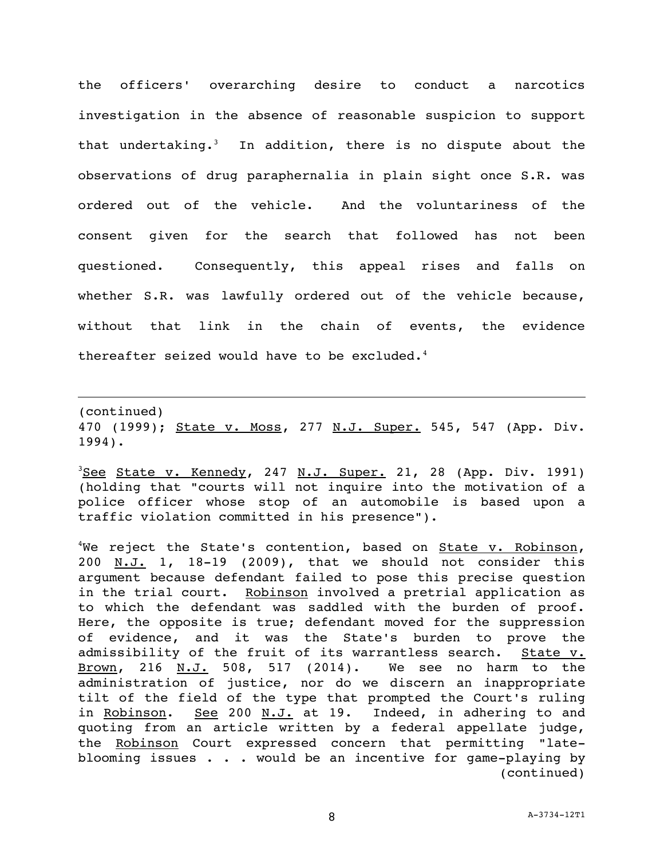the officers' overarching desire to conduct a narcotics investigation in the absence of reasonable suspicion to support that undertaking.<sup>3</sup> In addition, there is no dispute about the observations of drug paraphernalia in plain sight once S.R. was ordered out of the vehicle. And the voluntariness of the consent given for the search that followed has not been questioned. Consequently, this appeal rises and falls on whether S.R. was lawfully ordered out of the vehicle because, without that link in the chain of events, the evidence thereafter seized would have to be excluded.<sup>4</sup>

(continued) 470 (1999); State v. Moss, 277 N.J. Super. 545, 547 (App. Div. 1994).

i<br>L

 $3$ See State v. Kennedy, 247 N.J. Super. 21, 28 (App. Div. 1991) (holding that "courts will not inquire into the motivation of a police officer whose stop of an automobile is based upon a traffic violation committed in his presence").

<sup>4</sup>We reject the State's contention, based on <u>State v. Robinson</u>, 200  $N.J.$  1, 18-19 (2009), that we should not consider this argument because defendant failed to pose this precise question in the trial court. Robinson involved a pretrial application as to which the defendant was saddled with the burden of proof. Here, the opposite is true; defendant moved for the suppression of evidence, and it was the State's burden to prove the admissibility of the fruit of its warrantless search. State v. Brown, 216 N.J. 508, 517 (2014). We see no harm to the administration of justice, nor do we discern an inappropriate tilt of the field of the type that prompted the Court's ruling in Robinson. See 200 N.J. at 19. Indeed, in adhering to and quoting from an article written by a federal appellate judge, the Robinson Court expressed concern that permitting "lateblooming issues . . . would be an incentive for game-playing by (continued)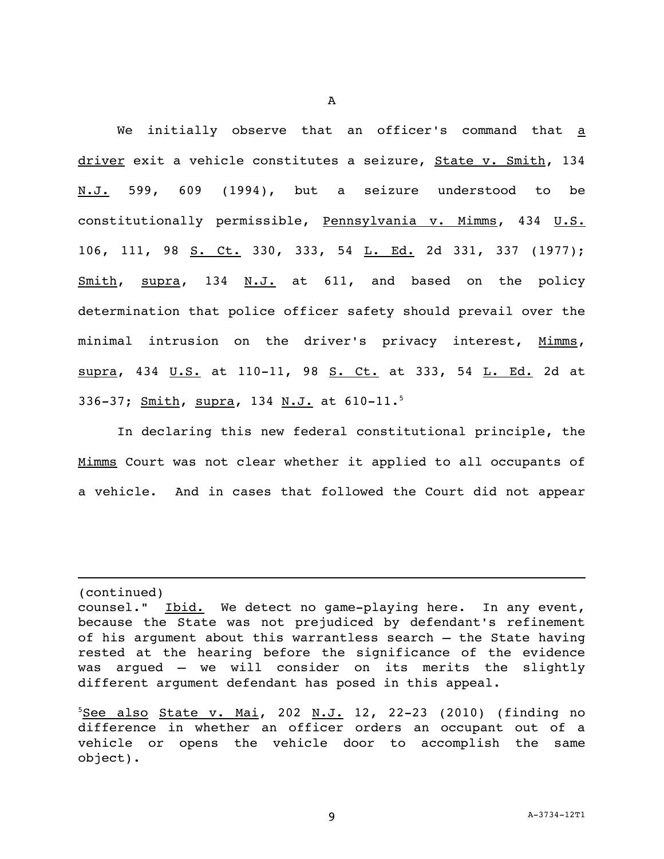We initially observe that an officer's command that a driver exit a vehicle constitutes a seizure, State v. Smith, 134 N.J. 599, 609 (1994), but a seizure understood to be constitutionally permissible, Pennsylvania v. Mimms, 434 U.S. 106, 111, 98 S. Ct. 330, 333, 54 L. Ed. 2d 331, 337 (1977); Smith, supra, 134 N.J. at 611, and based on the policy determination that police officer safety should prevail over the minimal intrusion on the driver's privacy interest, Mimms, supra, 434 U.S. at 110-11, 98 S. Ct. at 333, 54 L. Ed. 2d at 336-37; Smith, supra, 134 N.J. at 610-11.<sup>5</sup>

In declaring this new federal constitutional principle, the Mimms Court was not clear whether it applied to all occupants of a vehicle. And in cases that followed the Court did not appear

(continued)

counsel." Ibid. We detect no game-playing here. In any event, because the State was not prejudiced by defendant's refinement of his argument about this warrantless search – the State having rested at the hearing before the significance of the evidence was argued – we will consider on its merits the slightly different argument defendant has posed in this appeal.

 $5$ See also State v. Mai, 202 N.J. 12, 22-23 (2010) (finding no difference in whether an officer orders an occupant out of a vehicle or opens the vehicle door to accomplish the same object).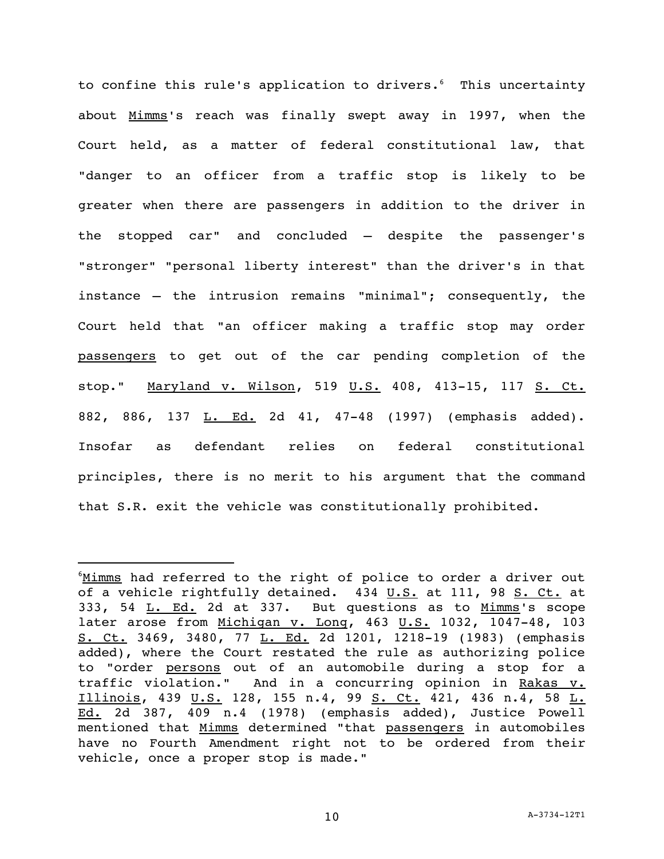to confine this rule's application to drivers.<sup>6</sup> This uncertainty about Mimms's reach was finally swept away in 1997, when the Court held, as a matter of federal constitutional law, that "danger to an officer from a traffic stop is likely to be greater when there are passengers in addition to the driver in the stopped car" and concluded – despite the passenger's "stronger" "personal liberty interest" than the driver's in that instance – the intrusion remains "minimal"; consequently, the Court held that "an officer making a traffic stop may order passengers to get out of the car pending completion of the stop." Maryland v. Wilson, 519 U.S. 408, 413-15, 117 S. Ct. 882, 886, 137 L. Ed. 2d 41, 47-48 (1997) (emphasis added). Insofar as defendant relies on federal constitutional principles, there is no merit to his argument that the command that S.R. exit the vehicle was constitutionally prohibited.

<sup>&</sup>lt;sup>6</sup>Mimms had referred to the right of police to order a driver out of a vehicle rightfully detained. 434 U.S. at 111, 98 S. Ct. at 333, 54 L. Ed. 2d at 337. But questions as to Mimms's scope later arose from Michigan v. Long, 463 U.S. 1032, 1047-48, 103 S. Ct. 3469, 3480, 77 L. Ed. 2d 1201, 1218-19 (1983) (emphasis added), where the Court restated the rule as authorizing police to "order persons out of an automobile during a stop for a traffic violation." And in a concurring opinion in Rakas v. Illinois, 439 U.S. 128, 155 n.4, 99 S. Ct. 421, 436 n.4, 58 L. Ed. 2d 387, 409 n.4 (1978) (emphasis added), Justice Powell mentioned that Mimms determined "that passengers in automobiles have no Fourth Amendment right not to be ordered from their vehicle, once a proper stop is made."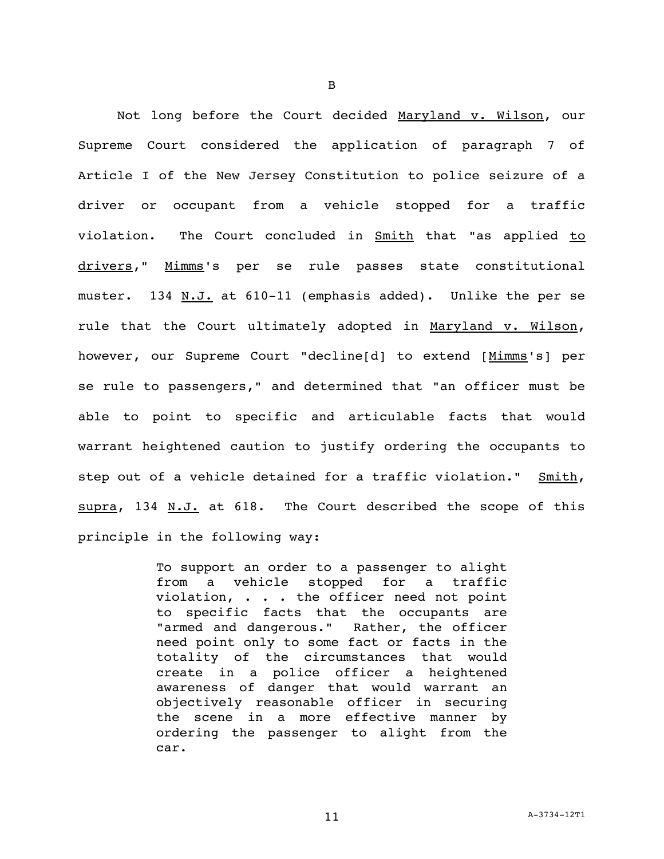Not long before the Court decided Maryland v. Wilson, our Supreme Court considered the application of paragraph 7 of Article I of the New Jersey Constitution to police seizure of a driver or occupant from a vehicle stopped for a traffic violation. The Court concluded in Smith that "as applied to drivers," Mimms's per se rule passes state constitutional muster. 134 N.J. at 610-11 (emphasis added). Unlike the per se rule that the Court ultimately adopted in Maryland v. Wilson, however, our Supreme Court "decline[d] to extend [Mimms's] per se rule to passengers," and determined that "an officer must be able to point to specific and articulable facts that would warrant heightened caution to justify ordering the occupants to step out of a vehicle detained for a traffic violation." Smith, supra, 134 N.J. at 618. The Court described the scope of this principle in the following way:

> To support an order to a passenger to alight from a vehicle stopped for a traffic violation, . . . the officer need not point to specific facts that the occupants are "armed and dangerous." Rather, the officer need point only to some fact or facts in the totality of the circumstances that would create in a police officer a heightened awareness of danger that would warrant an objectively reasonable officer in securing the scene in a more effective manner by ordering the passenger to alight from the car.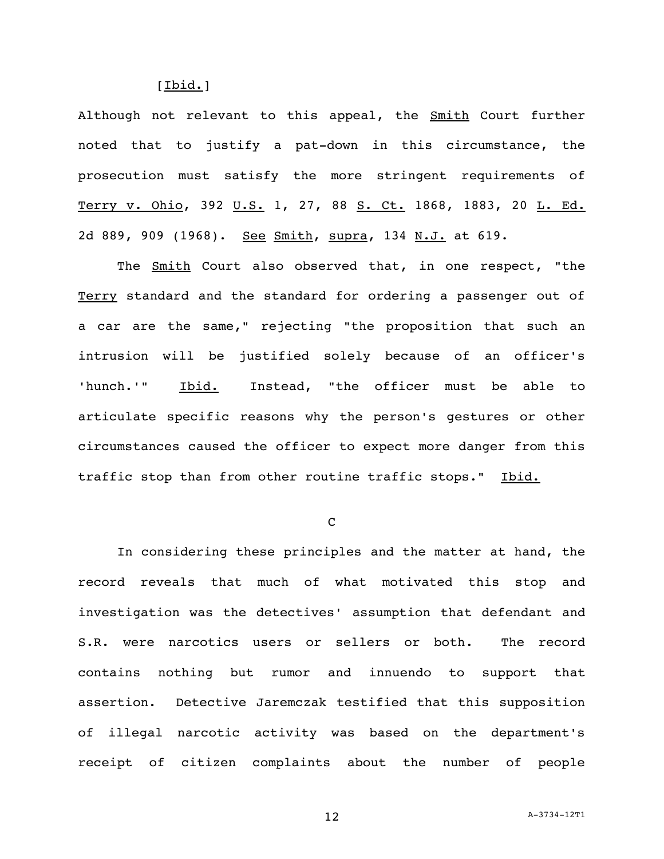[Ibid.]

Although not relevant to this appeal, the **Smith Court further** noted that to justify a pat-down in this circumstance, the prosecution must satisfy the more stringent requirements of Terry v. Ohio, 392 U.S. 1, 27, 88 S. Ct. 1868, 1883, 20 L. Ed. 2d 889, 909 (1968). See Smith, supra, 134 N.J. at 619.

The **Smith** Court also observed that, in one respect, "the Terry standard and the standard for ordering a passenger out of a car are the same," rejecting "the proposition that such an intrusion will be justified solely because of an officer's 'hunch.'" Ibid. Instead, "the officer must be able to articulate specific reasons why the person's gestures or other circumstances caused the officer to expect more danger from this traffic stop than from other routine traffic stops." Ibid.

 $\mathcal{C}$ 

In considering these principles and the matter at hand, the record reveals that much of what motivated this stop and investigation was the detectives' assumption that defendant and S.R. were narcotics users or sellers or both. The record contains nothing but rumor and innuendo to support that assertion. Detective Jaremczak testified that this supposition of illegal narcotic activity was based on the department's receipt of citizen complaints about the number of people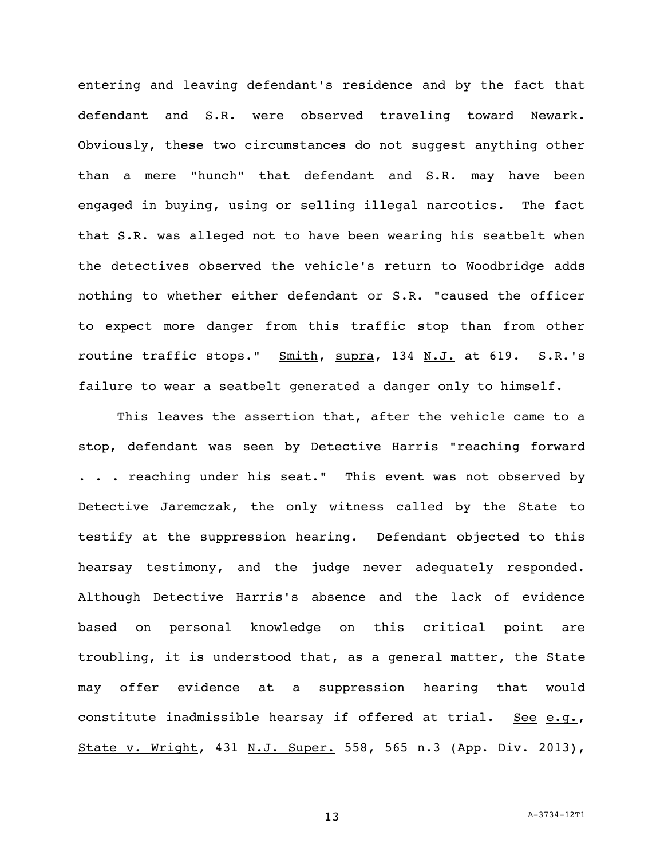entering and leaving defendant's residence and by the fact that defendant and S.R. were observed traveling toward Newark. Obviously, these two circumstances do not suggest anything other than a mere "hunch" that defendant and S.R. may have been engaged in buying, using or selling illegal narcotics. The fact that S.R. was alleged not to have been wearing his seatbelt when the detectives observed the vehicle's return to Woodbridge adds nothing to whether either defendant or S.R. "caused the officer to expect more danger from this traffic stop than from other routine traffic stops." Smith, supra, 134 N.J. at 619. S.R.'s failure to wear a seatbelt generated a danger only to himself.

This leaves the assertion that, after the vehicle came to a stop, defendant was seen by Detective Harris "reaching forward . . . reaching under his seat." This event was not observed by Detective Jaremczak, the only witness called by the State to testify at the suppression hearing. Defendant objected to this hearsay testimony, and the judge never adequately responded. Although Detective Harris's absence and the lack of evidence based on personal knowledge on this critical point are troubling, it is understood that, as a general matter, the State may offer evidence at a suppression hearing that would constitute inadmissible hearsay if offered at trial. See e.g., State v. Wright, 431 N.J. Super. 558, 565 n.3 (App. Div. 2013),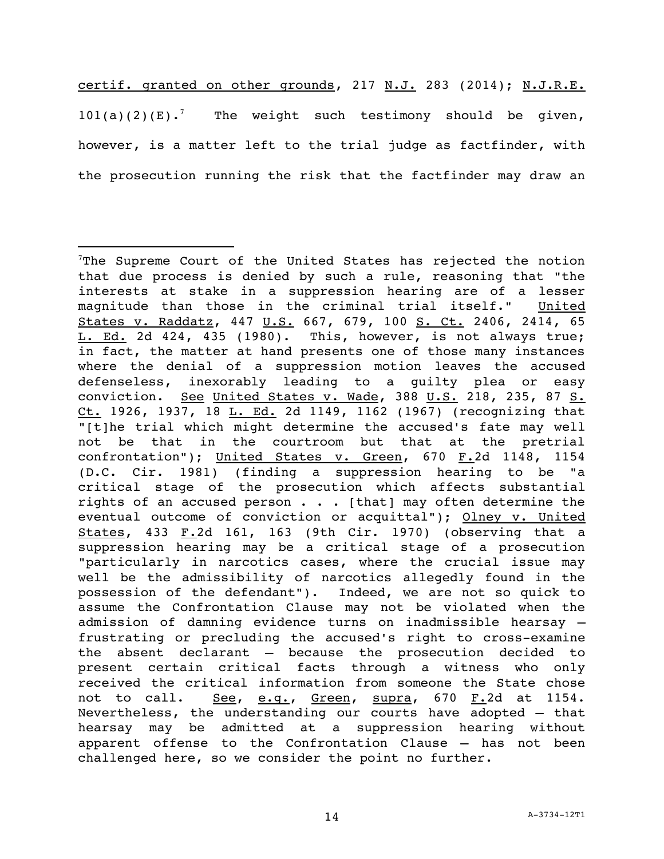certif. granted on other grounds, 217 N.J. 283 (2014); N.J.R.E.  $101(a)(2)(E)$ .<sup>7</sup> The weight such testimony should be given, however, is a matter left to the trial judge as factfinder, with the prosecution running the risk that the factfinder may draw an

 $T$ The Supreme Court of the United States has rejected the notion that due process is denied by such a rule, reasoning that "the interests at stake in a suppression hearing are of a lesser magnitude than those in the criminal trial itself." United States v. Raddatz, 447 U.S. 667, 679, 100 S. Ct. 2406, 2414, 65 L. Ed. 2d 424, 435 (1980). This, however, is not always true; in fact, the matter at hand presents one of those many instances where the denial of a suppression motion leaves the accused defenseless, inexorably leading to a guilty plea or easy conviction. See United States v. Wade, 388 U.S. 218, 235, 87 S. Ct. 1926, 1937, 18 L. Ed. 2d 1149, 1162 (1967) (recognizing that "[t]he trial which might determine the accused's fate may well not be that in the courtroom but that at the pretrial confrontation"); United States v. Green, 670 F.2d 1148, 1154 (D.C. Cir. 1981) (finding a suppression hearing to be "a critical stage of the prosecution which affects substantial rights of an accused person  $\cdots$  [that] may often determine the eventual outcome of conviction or acquittal"); Olney v. United States, 433 F.2d 161, 163 (9th Cir. 1970) (observing that a suppression hearing may be a critical stage of a prosecution "particularly in narcotics cases, where the crucial issue may well be the admissibility of narcotics allegedly found in the possession of the defendant"). Indeed, we are not so quick to assume the Confrontation Clause may not be violated when the admission of damning evidence turns on inadmissible hearsay – frustrating or precluding the accused's right to cross-examine the absent declarant – because the prosecution decided to present certain critical facts through a witness who only received the critical information from someone the State chose not to call. See, e.g., Green, supra, 670 F.2d at 1154. Nevertheless, the understanding our courts have adopted – that hearsay may be admitted at a suppression hearing without apparent offense to the Confrontation Clause – has not been challenged here, so we consider the point no further.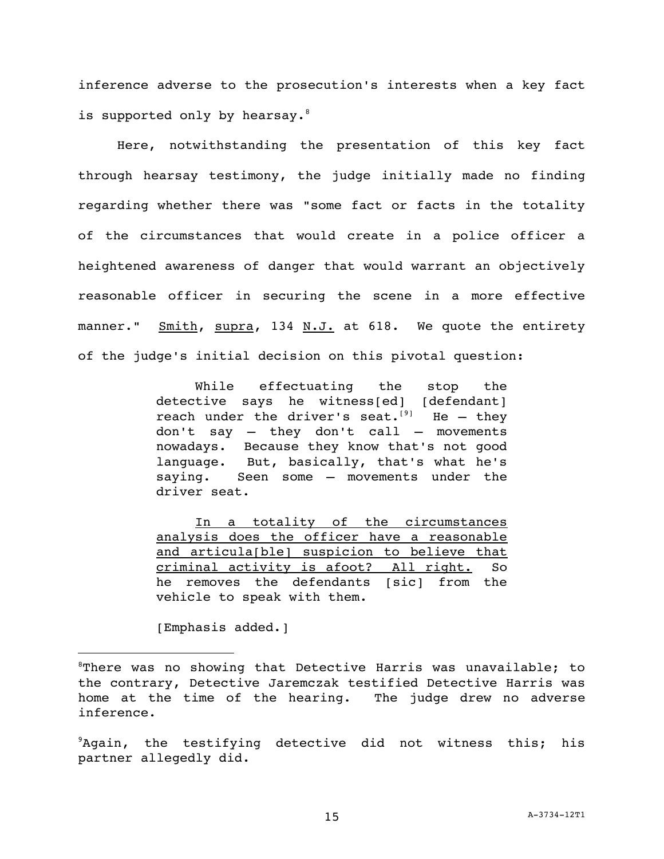inference adverse to the prosecution's interests when a key fact is supported only by hearsay.<sup>8</sup>

Here, notwithstanding the presentation of this key fact through hearsay testimony, the judge initially made no finding regarding whether there was "some fact or facts in the totality of the circumstances that would create in a police officer a heightened awareness of danger that would warrant an objectively reasonable officer in securing the scene in a more effective manner." Smith, supra, 134 N.J. at 618. We quote the entirety of the judge's initial decision on this pivotal question:

> While effectuating the stop the detective says he witness[ed] [defendant] reach under the driver's seat.<sup>[9]</sup> He - they don't say – they don't call – movements nowadays. Because they know that's not good language. But, basically, that's what he's saying. Seen some – movements under the driver seat.

> In a totality of the circumstances analysis does the officer have a reasonable and articula[ble] suspicion to believe that criminal activity is afoot? All right. So he removes the defendants [sic] from the vehicle to speak with them.

[Emphasis added.]

 ${}^{8}$ There was no showing that Detective Harris was unavailable; to the contrary, Detective Jaremczak testified Detective Harris was home at the time of the hearing. The judge drew no adverse inference.

 $9$ Again, the testifying detective did not witness this; his partner allegedly did.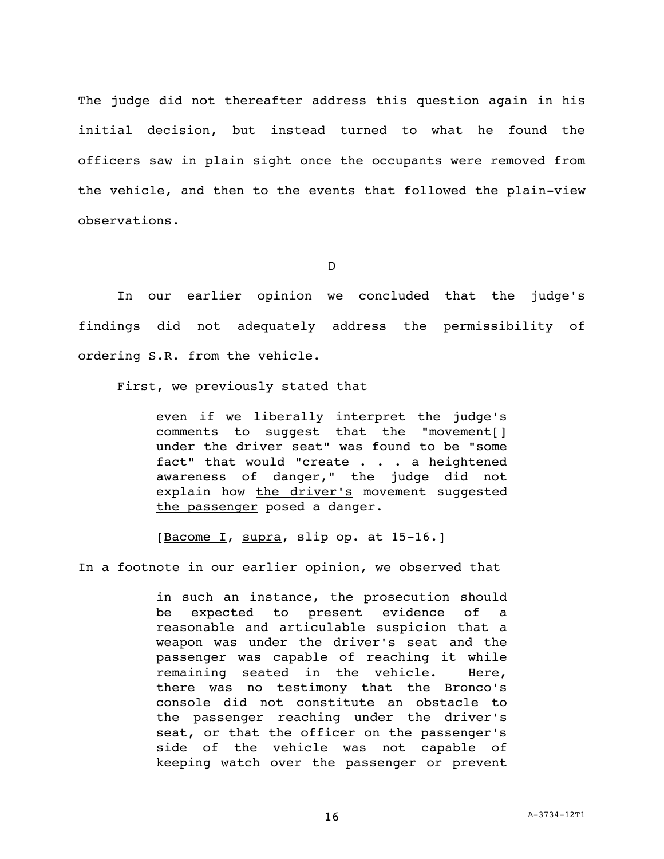The judge did not thereafter address this question again in his initial decision, but instead turned to what he found the officers saw in plain sight once the occupants were removed from the vehicle, and then to the events that followed the plain-view observations.

D

In our earlier opinion we concluded that the judge's findings did not adequately address the permissibility of ordering S.R. from the vehicle.

First, we previously stated that

even if we liberally interpret the judge's comments to suggest that the "movement[] under the driver seat" was found to be "some fact" that would "create . . . a heightened awareness of danger," the judge did not explain how the driver's movement suggested the passenger posed a danger.

[Bacome I, supra, slip op. at 15-16.]

In a footnote in our earlier opinion, we observed that

in such an instance, the prosecution should be expected to present evidence of a reasonable and articulable suspicion that a weapon was under the driver's seat and the passenger was capable of reaching it while remaining seated in the vehicle. Here, there was no testimony that the Bronco's console did not constitute an obstacle to the passenger reaching under the driver's seat, or that the officer on the passenger's side of the vehicle was not capable of keeping watch over the passenger or prevent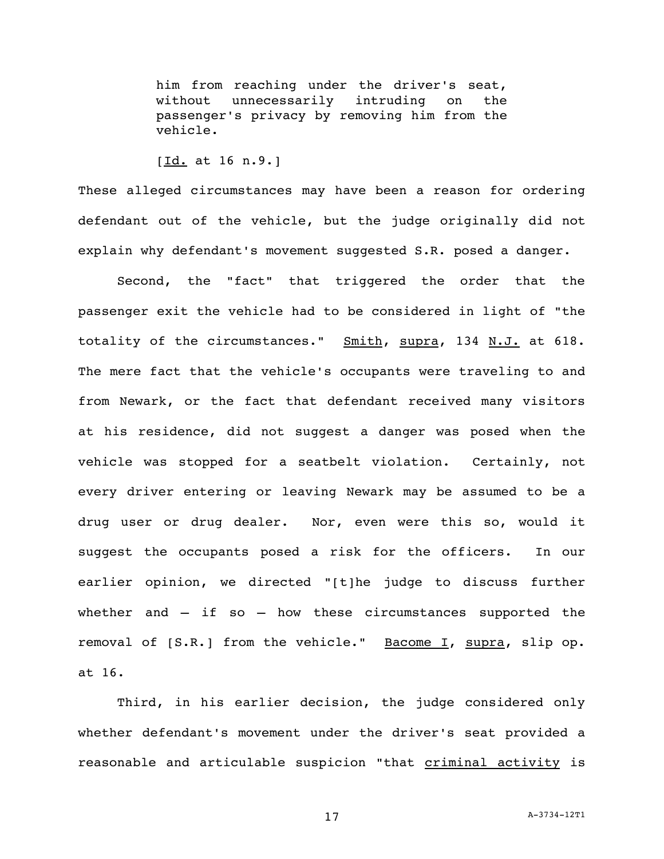him from reaching under the driver's seat, without unnecessarily intruding on the passenger's privacy by removing him from the vehicle.

[Id. at 16 n.9.]

These alleged circumstances may have been a reason for ordering defendant out of the vehicle, but the judge originally did not explain why defendant's movement suggested S.R. posed a danger.

Second, the "fact" that triggered the order that the passenger exit the vehicle had to be considered in light of "the totality of the circumstances." Smith, supra, 134 N.J. at 618. The mere fact that the vehicle's occupants were traveling to and from Newark, or the fact that defendant received many visitors at his residence, did not suggest a danger was posed when the vehicle was stopped for a seatbelt violation. Certainly, not every driver entering or leaving Newark may be assumed to be a drug user or drug dealer. Nor, even were this so, would it suggest the occupants posed a risk for the officers. In our earlier opinion, we directed "[t]he judge to discuss further whether and – if so – how these circumstances supported the removal of [S.R.] from the vehicle." Bacome I, supra, slip op. at 16.

Third, in his earlier decision, the judge considered only whether defendant's movement under the driver's seat provided a reasonable and articulable suspicion "that criminal activity is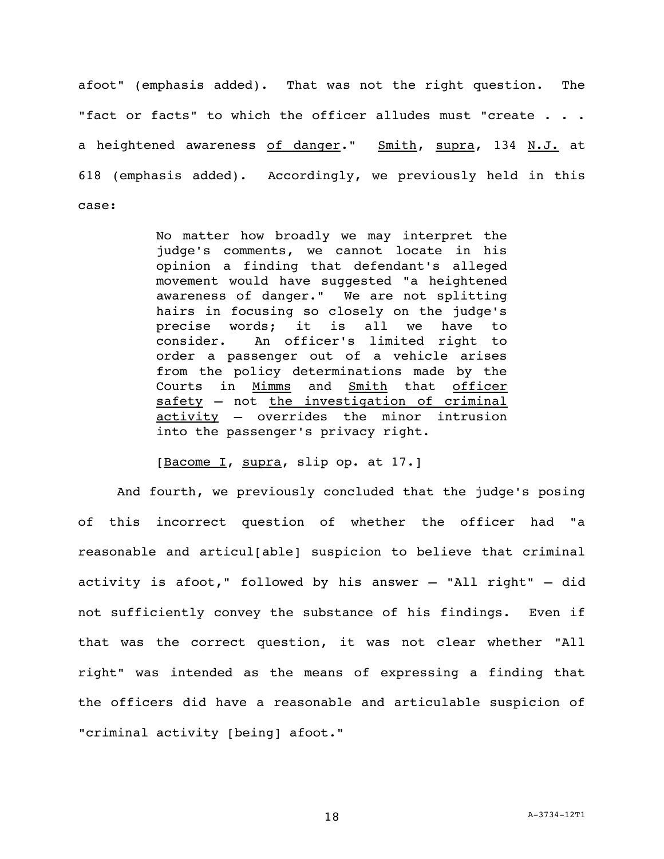afoot" (emphasis added). That was not the right question. The "fact or facts" to which the officer alludes must "create . . . a heightened awareness of danger." Smith, supra, 134 N.J. at 618 (emphasis added). Accordingly, we previously held in this case:

> No matter how broadly we may interpret the judge's comments, we cannot locate in his opinion a finding that defendant's alleged movement would have suggested "a heightened awareness of danger." We are not splitting hairs in focusing so closely on the judge's precise words; it is all we have to consider. An officer's limited right to order a passenger out of a vehicle arises from the policy determinations made by the Courts in Mimms and Smith that officer safety – not the investigation of criminal activity – overrides the minor intrusion into the passenger's privacy right.

[Bacome I, supra, slip op. at 17.]

And fourth, we previously concluded that the judge's posing of this incorrect question of whether the officer had "a reasonable and articul[able] suspicion to believe that criminal activity is afoot," followed by his answer – "All right" – did not sufficiently convey the substance of his findings. Even if that was the correct question, it was not clear whether "All right" was intended as the means of expressing a finding that the officers did have a reasonable and articulable suspicion of "criminal activity [being] afoot."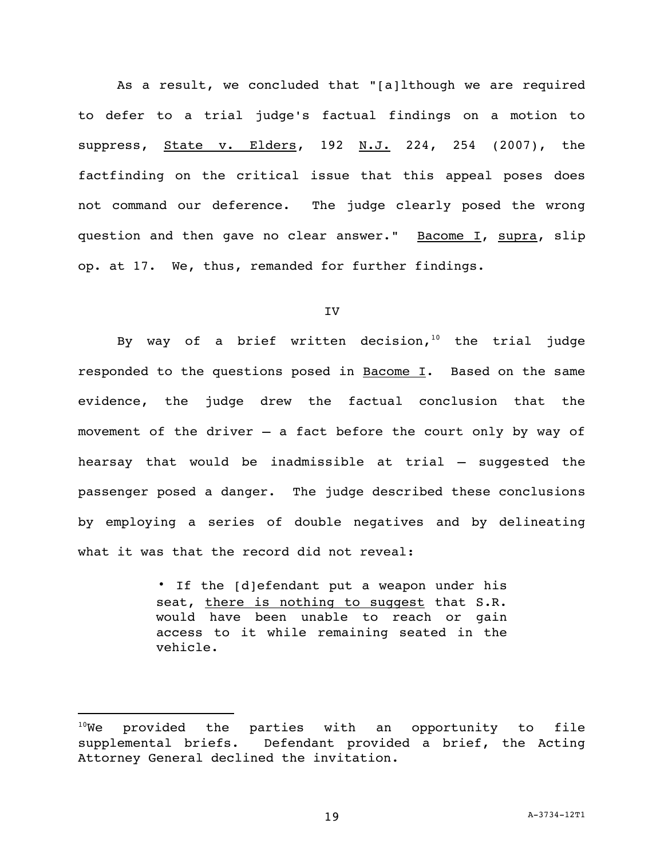As a result, we concluded that "[a]lthough we are required to defer to a trial judge's factual findings on a motion to suppress, State v. Elders, 192 N.J. 224, 254 (2007), the factfinding on the critical issue that this appeal poses does not command our deference. The judge clearly posed the wrong question and then gave no clear answer." Bacome I, supra, slip op. at 17. We, thus, remanded for further findings.

### IV

By way of a brief written decision, $10$  the trial judge responded to the questions posed in  $\frac{Bacome}{I}$ . Based on the same evidence, the judge drew the factual conclusion that the movement of the driver – a fact before the court only by way of hearsay that would be inadmissible at trial – suggested the passenger posed a danger. The judge described these conclusions by employing a series of double negatives and by delineating what it was that the record did not reveal:

> ∙ If the [d]efendant put a weapon under his seat, there is nothing to suggest that S.R. would have been unable to reach or gain access to it while remaining seated in the vehicle.

 $10$ We provided the parties with an opportunity to file supplemental briefs. Defendant provided a brief, the Acting Attorney General declined the invitation.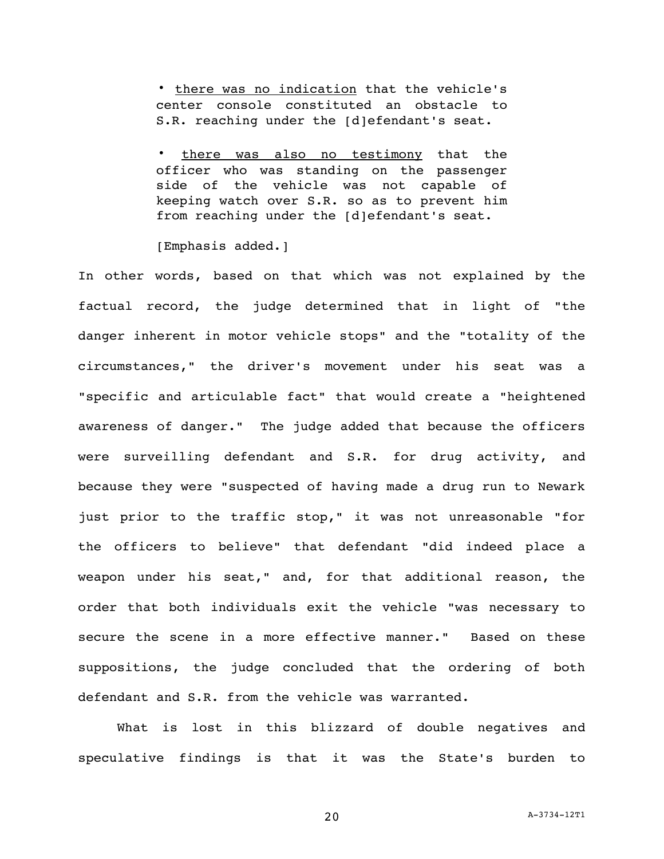∙ there was no indication that the vehicle's center console constituted an obstacle to S.R. reaching under the [d]efendant's seat.

there was also no testimony that the officer who was standing on the passenger side of the vehicle was not capable of keeping watch over S.R. so as to prevent him from reaching under the [d]efendant's seat.

[Emphasis added.]

In other words, based on that which was not explained by the factual record, the judge determined that in light of "the danger inherent in motor vehicle stops" and the "totality of the circumstances," the driver's movement under his seat was a "specific and articulable fact" that would create a "heightened awareness of danger." The judge added that because the officers were surveilling defendant and S.R. for drug activity, and because they were "suspected of having made a drug run to Newark just prior to the traffic stop," it was not unreasonable "for the officers to believe" that defendant "did indeed place a weapon under his seat," and, for that additional reason, the order that both individuals exit the vehicle "was necessary to secure the scene in a more effective manner." Based on these suppositions, the judge concluded that the ordering of both defendant and S.R. from the vehicle was warranted.

What is lost in this blizzard of double negatives and speculative findings is that it was the State's burden to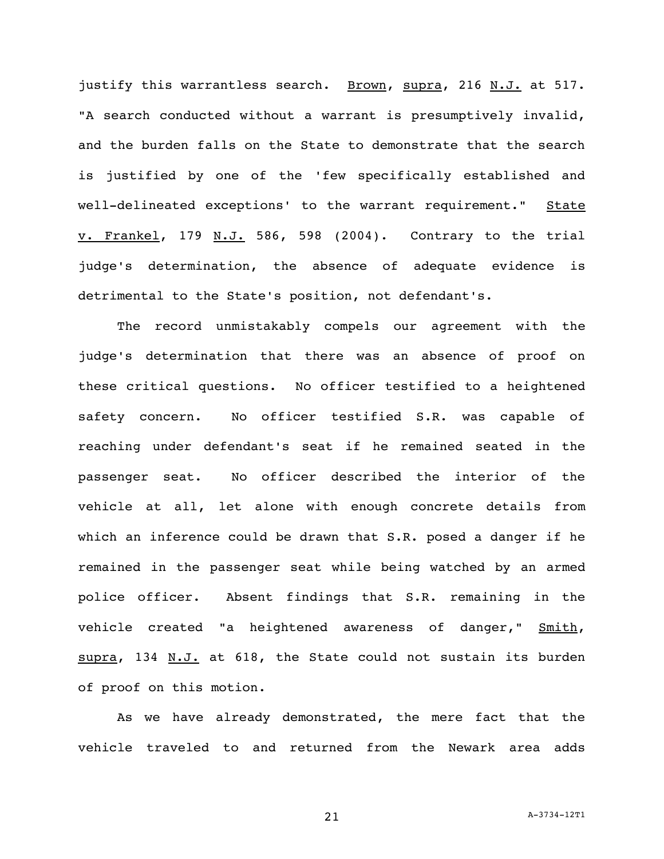justify this warrantless search. Brown, supra, 216 N.J. at 517. "A search conducted without a warrant is presumptively invalid, and the burden falls on the State to demonstrate that the search is justified by one of the 'few specifically established and well-delineated exceptions' to the warrant requirement." State v. Frankel, 179 N.J. 586, 598 (2004). Contrary to the trial judge's determination, the absence of adequate evidence is detrimental to the State's position, not defendant's.

The record unmistakably compels our agreement with the judge's determination that there was an absence of proof on these critical questions. No officer testified to a heightened safety concern. No officer testified S.R. was capable of reaching under defendant's seat if he remained seated in the passenger seat. No officer described the interior of the vehicle at all, let alone with enough concrete details from which an inference could be drawn that S.R. posed a danger if he remained in the passenger seat while being watched by an armed police officer. Absent findings that S.R. remaining in the vehicle created "a heightened awareness of danger," Smith, supra, 134 N.J. at 618, the State could not sustain its burden of proof on this motion.

As we have already demonstrated, the mere fact that the vehicle traveled to and returned from the Newark area adds

21 A-3734-12T1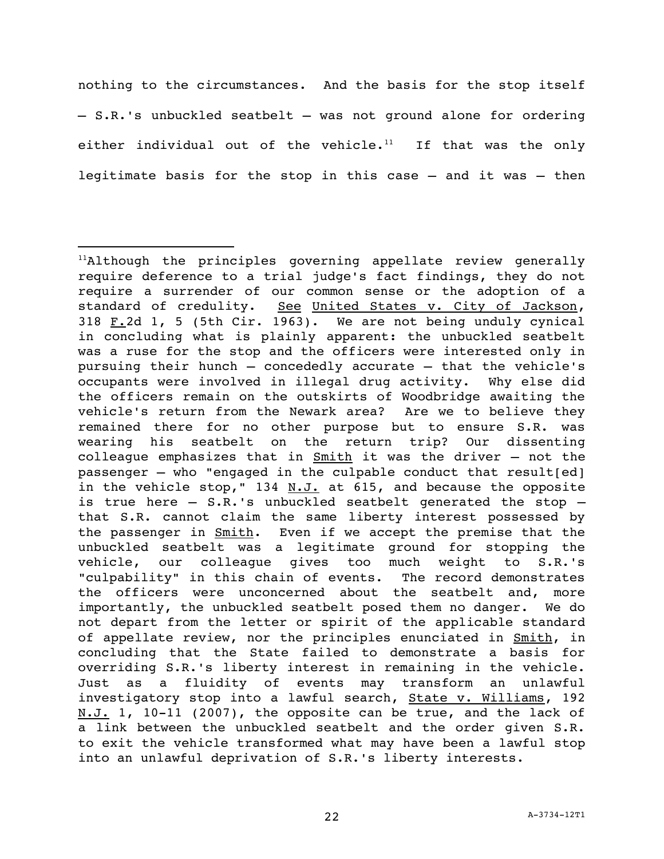nothing to the circumstances. And the basis for the stop itself – S.R.'s unbuckled seatbelt – was not ground alone for ordering either individual out of the vehicle. $11$  If that was the only legitimate basis for the stop in this case – and it was – then

 $11$ Although the principles governing appellate review generally require deference to a trial judge's fact findings, they do not require a surrender of our common sense or the adoption of a standard of credulity. See United States v. City of Jackson, 318  $F.2d$  1, 5 (5th Cir. 1963). We are not being unduly cynical in concluding what is plainly apparent: the unbuckled seatbelt was a ruse for the stop and the officers were interested only in pursuing their hunch – concededly accurate – that the vehicle's occupants were involved in illegal drug activity. Why else did the officers remain on the outskirts of Woodbridge awaiting the vehicle's return from the Newark area? Are we to believe they remained there for no other purpose but to ensure S.R. was wearing his seatbelt on the return trip? Our dissenting colleague emphasizes that in Smith it was the driver – not the passenger  $-$  who "engaged in the culpable conduct that result[ed] in the vehicle stop," 134  $N.J.$  at 615, and because the opposite is true here – S.R.'s unbuckled seatbelt generated the stop – that S.R. cannot claim the same liberty interest possessed by the passenger in Smith. Even if we accept the premise that the unbuckled seatbelt was a legitimate ground for stopping the vehicle, our colleague gives too much weight to S.R.'s "culpability" in this chain of events. The record demonstrates the officers were unconcerned about the seatbelt and, more importantly, the unbuckled seatbelt posed them no danger. We do not depart from the letter or spirit of the applicable standard of appellate review, nor the principles enunciated in Smith, in concluding that the State failed to demonstrate a basis for overriding S.R.'s liberty interest in remaining in the vehicle. Just as a fluidity of events may transform an unlawful investigatory stop into a lawful search, State v. Williams, 192  $N.J. 1$ , 10-11 (2007), the opposite can be true, and the lack of a link between the unbuckled seatbelt and the order given S.R. to exit the vehicle transformed what may have been a lawful stop into an unlawful deprivation of S.R.'s liberty interests.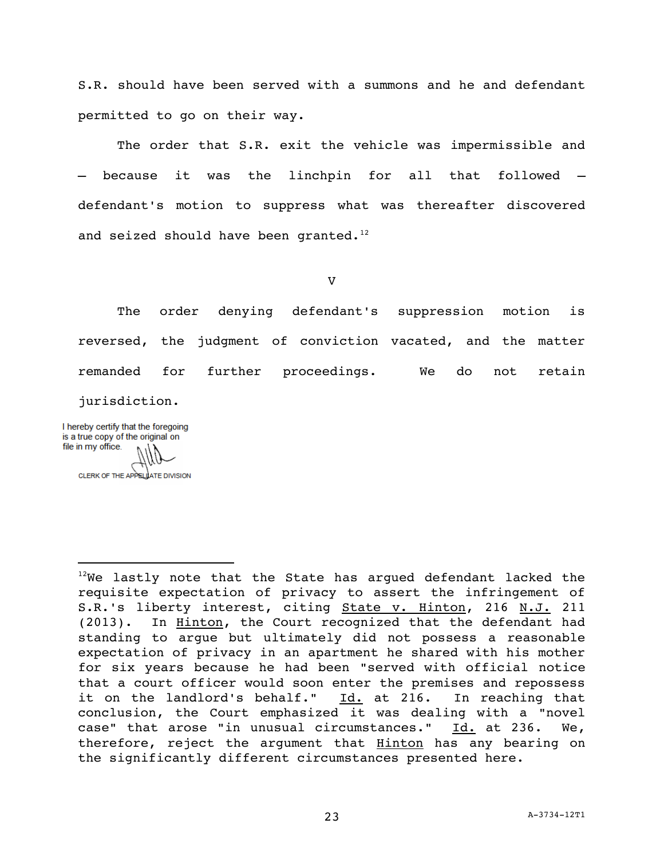S.R. should have been served with a summons and he and defendant permitted to go on their way.

The order that S.R. exit the vehicle was impermissible and – because it was the linchpin for all that followed – defendant's motion to suppress what was thereafter discovered and seized should have been granted. $12$ 

V

The order denying defendant's suppression motion is reversed, the judgment of conviction vacated, and the matter remanded for further proceedings. We do not retain jurisdiction.

I hereby certify that the foregoing is a true copy of the original on file in my office.

i<br>L

CLERK OF THE APPELLATE DIVISION

 $12$ We lastly note that the State has argued defendant lacked the requisite expectation of privacy to assert the infringement of S.R.'s liberty interest, citing State v. Hinton, 216 N.J. 211 (2013). In Hinton, the Court recognized that the defendant had standing to argue but ultimately did not possess a reasonable expectation of privacy in an apartment he shared with his mother for six years because he had been "served with official notice that a court officer would soon enter the premises and repossess it on the landlord's behalf." Id. at 216. In reaching that conclusion, the Court emphasized it was dealing with a "novel case" that arose "in unusual circumstances."  $Id.$  at 236. We, therefore, reject the argument that Hinton has any bearing on the significantly different circumstances presented here.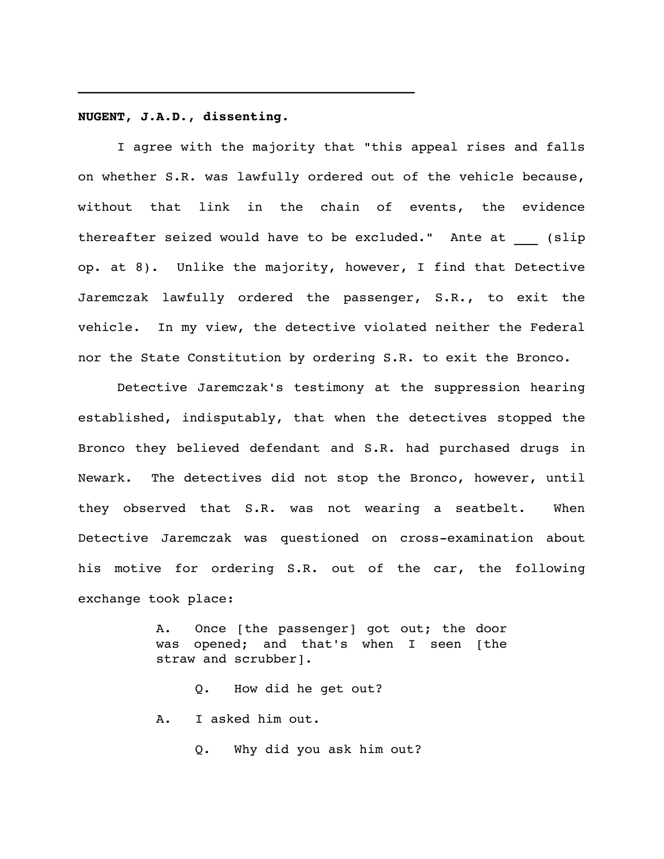# **NUGENT, J.A.D., dissenting.**

I agree with the majority that "this appeal rises and falls on whether S.R. was lawfully ordered out of the vehicle because, without that link in the chain of events, the evidence thereafter seized would have to be excluded." Ante at (slip op. at 8). Unlike the majority, however, I find that Detective Jaremczak lawfully ordered the passenger, S.R., to exit the vehicle. In my view, the detective violated neither the Federal nor the State Constitution by ordering S.R. to exit the Bronco.

Detective Jaremczak's testimony at the suppression hearing established, indisputably, that when the detectives stopped the Bronco they believed defendant and S.R. had purchased drugs in Newark. The detectives did not stop the Bronco, however, until they observed that S.R. was not wearing a seatbelt. When Detective Jaremczak was questioned on cross-examination about his motive for ordering S.R. out of the car, the following exchange took place:

> A. Once [the passenger] got out; the door was opened; and that's when I seen [the straw and scrubber].

Q. How did he get out? A. I asked him out.

Q. Why did you ask him out?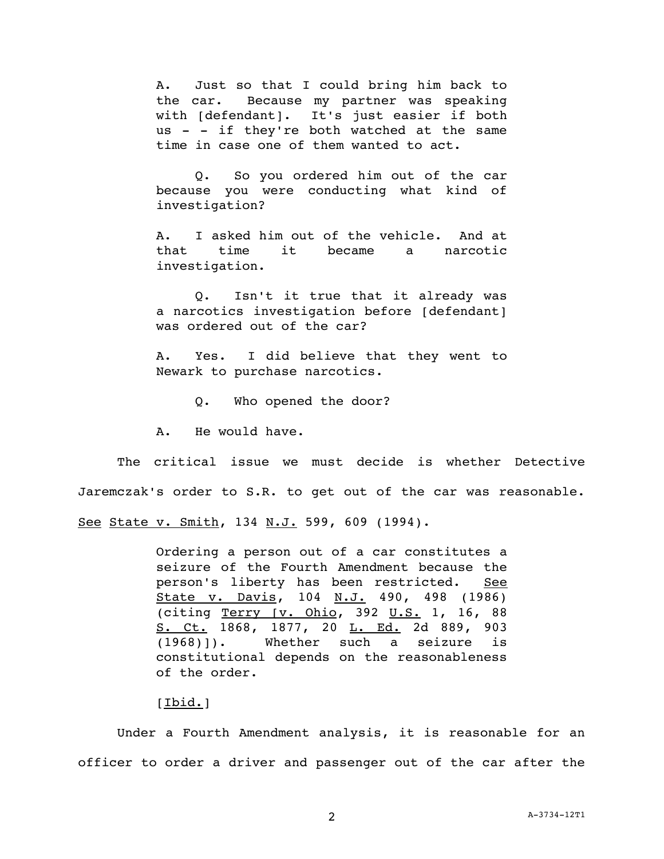A. Just so that I could bring him back to the car. Because my partner was speaking with [defendant]. It's just easier if both us - - if they're both watched at the same time in case one of them wanted to act.

Q. So you ordered him out of the car because you were conducting what kind of investigation?

A. I asked him out of the vehicle. And at that time it became a narcotic investigation.

Q. Isn't it true that it already was a narcotics investigation before [defendant] was ordered out of the car?

A. Yes. I did believe that they went to Newark to purchase narcotics.

Q. Who opened the door?

A. He would have.

The critical issue we must decide is whether Detective Jaremczak's order to S.R. to get out of the car was reasonable. See State v. Smith, 134 N.J. 599, 609 (1994).

> Ordering a person out of a car constitutes a seizure of the Fourth Amendment because the person's liberty has been restricted. See State v. Davis, 104 N.J. 490, 498 (1986) (citing Terry [v. Ohio, 392 U.S. 1, 16, 88 S. Ct. 1868, 1877, 20 L. Ed. 2d 889, 903 (1968)]). Whether such a seizure is constitutional depends on the reasonableness of the order.

## [Ibid.]

Under a Fourth Amendment analysis, it is reasonable for an officer to order a driver and passenger out of the car after the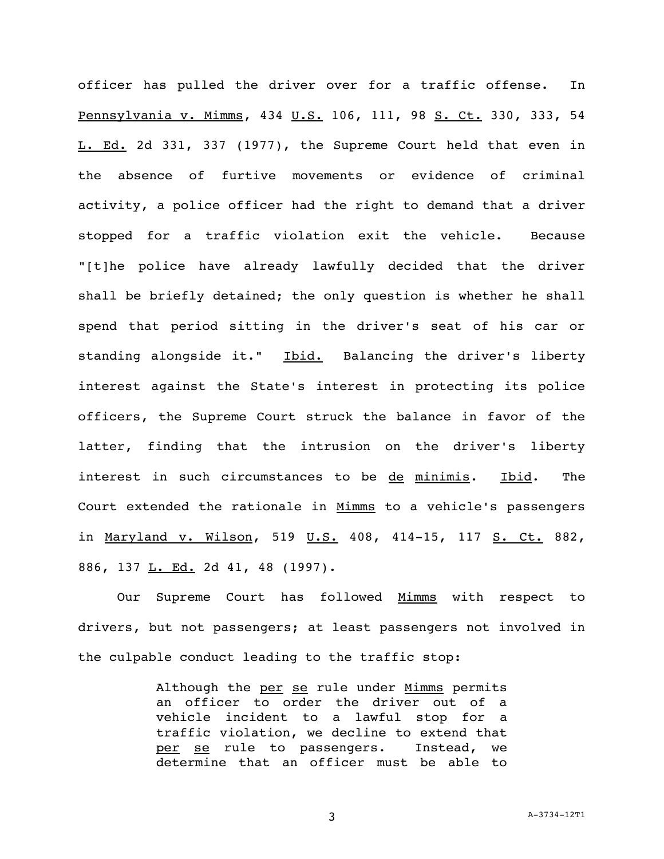officer has pulled the driver over for a traffic offense. In Pennsylvania v. Mimms, 434 U.S. 106, 111, 98 S. Ct. 330, 333, 54 L. Ed. 2d 331, 337 (1977), the Supreme Court held that even in the absence of furtive movements or evidence of criminal activity, a police officer had the right to demand that a driver stopped for a traffic violation exit the vehicle. Because "[t]he police have already lawfully decided that the driver shall be briefly detained; the only question is whether he shall spend that period sitting in the driver's seat of his car or standing alongside it." Ibid. Balancing the driver's liberty interest against the State's interest in protecting its police officers, the Supreme Court struck the balance in favor of the latter, finding that the intrusion on the driver's liberty interest in such circumstances to be de minimis. Ibid. The Court extended the rationale in Mimms to a vehicle's passengers in Maryland v. Wilson, 519 U.S. 408, 414-15, 117 S. Ct. 882, 886, 137 L. Ed. 2d 41, 48 (1997).

Our Supreme Court has followed Mimms with respect to drivers, but not passengers; at least passengers not involved in the culpable conduct leading to the traffic stop:

> Although the per se rule under Mimms permits an officer to order the driver out of a vehicle incident to a lawful stop for a traffic violation, we decline to extend that per se rule to passengers. Instead, we determine that an officer must be able to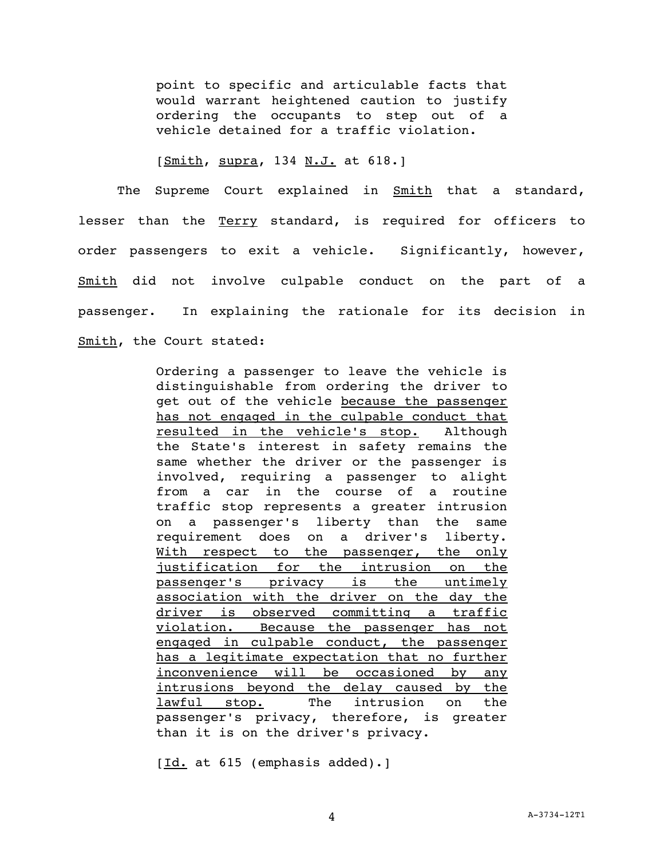point to specific and articulable facts that would warrant heightened caution to justify ordering the occupants to step out of a vehicle detained for a traffic violation.

[Smith, supra, 134 N.J. at 618.]

The Supreme Court explained in **Smith** that a standard, lesser than the Terry standard, is required for officers to order passengers to exit a vehicle. Significantly, however, Smith did not involve culpable conduct on the part of a passenger. In explaining the rationale for its decision in Smith, the Court stated:

> Ordering a passenger to leave the vehicle is distinguishable from ordering the driver to get out of the vehicle because the passenger has not engaged in the culpable conduct that resulted in the vehicle's stop. Although the State's interest in safety remains the same whether the driver or the passenger is involved, requiring a passenger to alight from a car in the course of a routine traffic stop represents a greater intrusion on a passenger's liberty than the same requirement does on a driver's liberty. With respect to the passenger, the only justification for the intrusion on the passenger's privacy is the untimely association with the driver on the day the driver is observed committing a traffic violation. Because the passenger has not engaged in culpable conduct, the passenger has a legitimate expectation that no further inconvenience will be occasioned by any intrusions beyond the delay caused by the lawful stop. The intrusion on the passenger's privacy, therefore, is greater than it is on the driver's privacy.

[Id. at 615 (emphasis added).]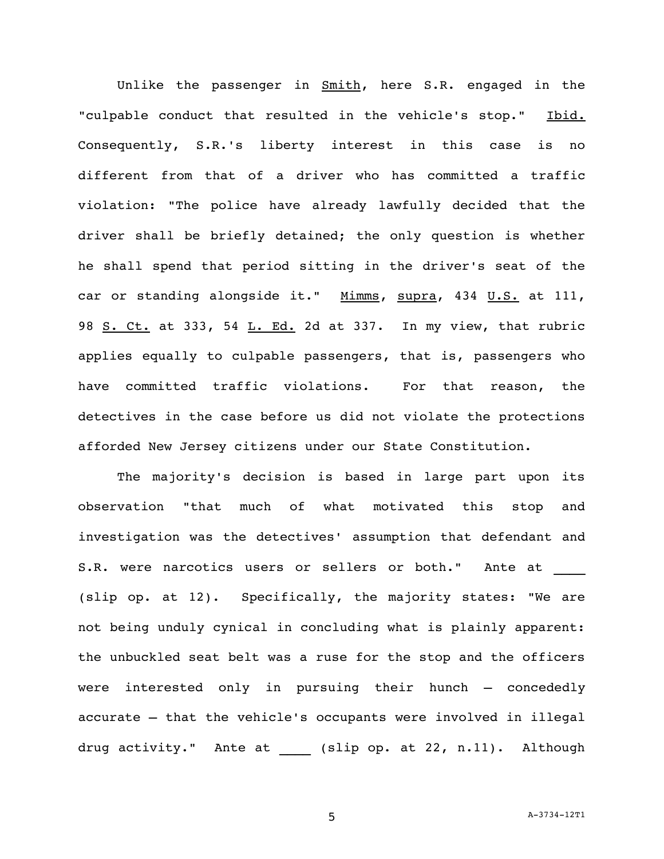Unlike the passenger in Smith, here S.R. engaged in the "culpable conduct that resulted in the vehicle's stop." Ibid. Consequently, S.R.'s liberty interest in this case is no different from that of a driver who has committed a traffic violation: "The police have already lawfully decided that the driver shall be briefly detained; the only question is whether he shall spend that period sitting in the driver's seat of the car or standing alongside it." Mimms, supra, 434 U.S. at 111, 98 S. Ct. at 333, 54 L. Ed. 2d at 337. In my view, that rubric applies equally to culpable passengers, that is, passengers who have committed traffic violations. For that reason, the detectives in the case before us did not violate the protections afforded New Jersey citizens under our State Constitution.

The majority's decision is based in large part upon its observation "that much of what motivated this stop and investigation was the detectives' assumption that defendant and S.R. were narcotics users or sellers or both." Ante at (slip op. at 12). Specifically, the majority states: "We are not being unduly cynical in concluding what is plainly apparent: the unbuckled seat belt was a ruse for the stop and the officers were interested only in pursuing their hunch – concededly accurate – that the vehicle's occupants were involved in illegal drug activity." Ante at \_\_\_\_ (slip op. at 22, n.11). Although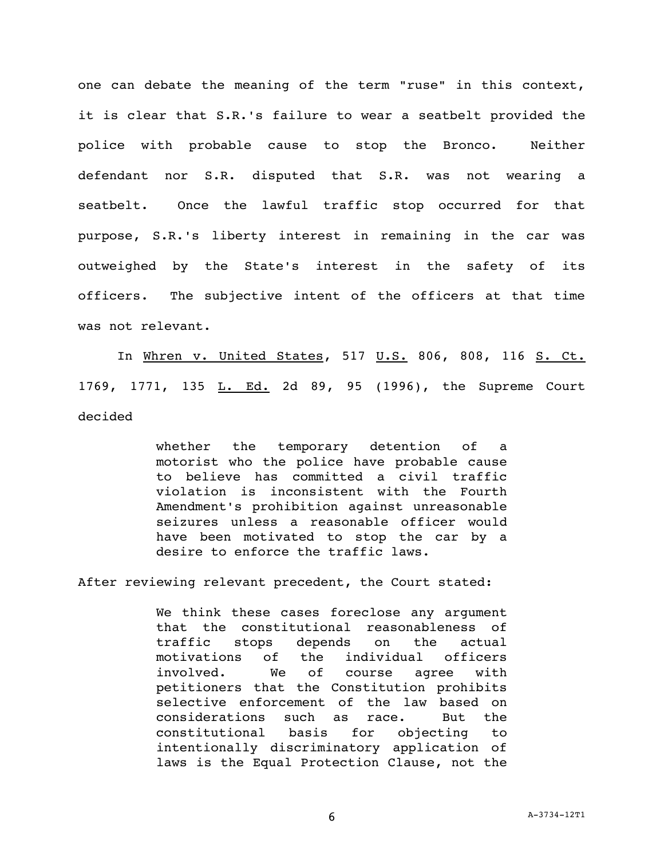one can debate the meaning of the term "ruse" in this context, it is clear that S.R.'s failure to wear a seatbelt provided the police with probable cause to stop the Bronco. Neither defendant nor S.R. disputed that S.R. was not wearing a seatbelt. Once the lawful traffic stop occurred for that purpose, S.R.'s liberty interest in remaining in the car was outweighed by the State's interest in the safety of its officers. The subjective intent of the officers at that time was not relevant.

In Whren v. United States, 517 U.S. 806, 808, 116 S. Ct. 1769, 1771, 135 L. Ed. 2d 89, 95 (1996), the Supreme Court decided

> whether the temporary detention of a motorist who the police have probable cause to believe has committed a civil traffic violation is inconsistent with the Fourth Amendment's prohibition against unreasonable seizures unless a reasonable officer would have been motivated to stop the car by a desire to enforce the traffic laws.

After reviewing relevant precedent, the Court stated:

We think these cases foreclose any argument that the constitutional reasonableness of traffic stops depends on the actual motivations of the individual officers involved. We of course agree with petitioners that the Constitution prohibits selective enforcement of the law based on considerations such as race. But the constitutional basis for objecting to intentionally discriminatory application of laws is the Equal Protection Clause, not the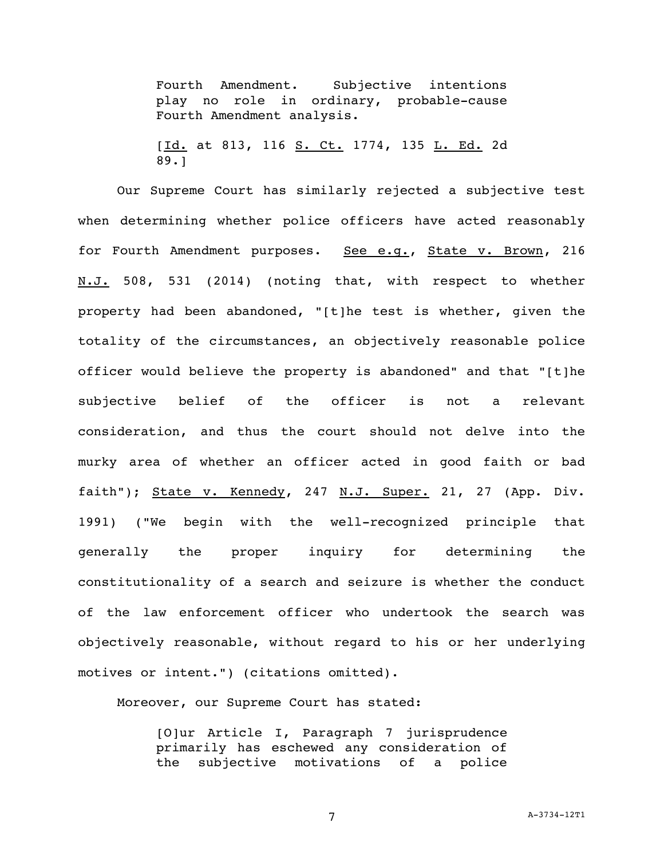Fourth Amendment. Subjective intentions play no role in ordinary, probable-cause Fourth Amendment analysis.

[Id. at 813, 116 S. Ct. 1774, 135 L. Ed. 2d 89.]

Our Supreme Court has similarly rejected a subjective test when determining whether police officers have acted reasonably for Fourth Amendment purposes. See e.g., State v. Brown, 216 N.J. 508, 531 (2014) (noting that, with respect to whether property had been abandoned, "[t]he test is whether, given the totality of the circumstances, an objectively reasonable police officer would believe the property is abandoned" and that "[t]he subjective belief of the officer is not a relevant consideration, and thus the court should not delve into the murky area of whether an officer acted in good faith or bad faith"); State v. Kennedy, 247 N.J. Super. 21, 27 (App. Div. 1991) ("We begin with the well-recognized principle that generally the proper inquiry for determining the constitutionality of a search and seizure is whether the conduct of the law enforcement officer who undertook the search was objectively reasonable, without regard to his or her underlying motives or intent.") (citations omitted).

Moreover, our Supreme Court has stated:

[O]ur Article I, Paragraph 7 jurisprudence primarily has eschewed any consideration of the subjective motivations of a police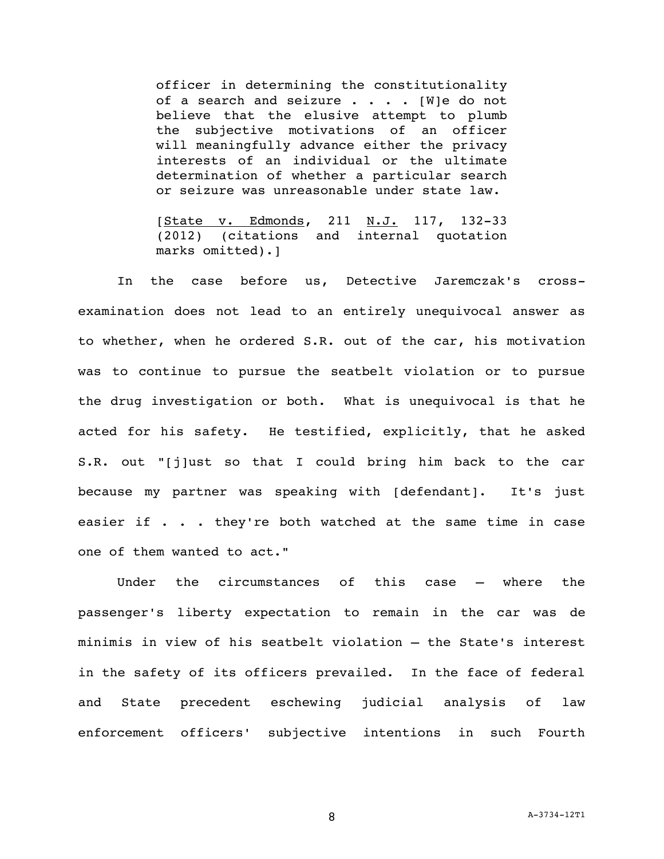officer in determining the constitutionality of a search and seizure  $\cdots$  . . . [W]e do not believe that the elusive attempt to plumb the subjective motivations of an officer will meaningfully advance either the privacy interests of an individual or the ultimate determination of whether a particular search or seizure was unreasonable under state law.

[State v. Edmonds, 211 N.J. 117, 132-33 (2012) (citations and internal quotation marks omitted).]

In the case before us, Detective Jaremczak's crossexamination does not lead to an entirely unequivocal answer as to whether, when he ordered S.R. out of the car, his motivation was to continue to pursue the seatbelt violation or to pursue the drug investigation or both. What is unequivocal is that he acted for his safety. He testified, explicitly, that he asked S.R. out "[j]ust so that I could bring him back to the car because my partner was speaking with [defendant]. It's just easier if . . . they're both watched at the same time in case one of them wanted to act."

Under the circumstances of this case – where the passenger's liberty expectation to remain in the car was de minimis in view of his seatbelt violation – the State's interest in the safety of its officers prevailed. In the face of federal and State precedent eschewing judicial analysis of law enforcement officers' subjective intentions in such Fourth